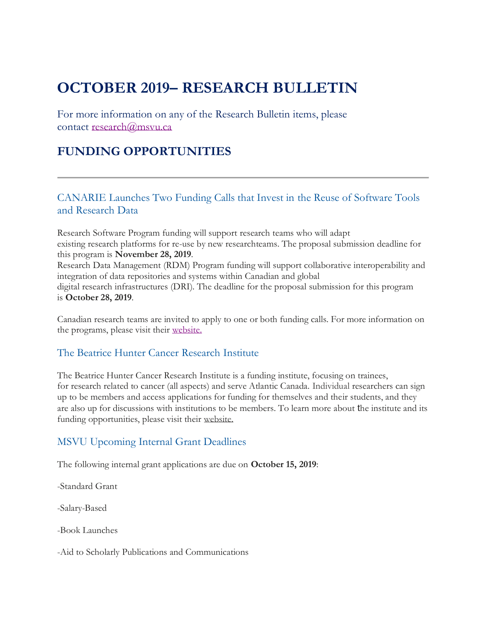# **OCTOBER 2019– RESEARCH BULLETIN**

For more information on any of the Research Bulletin items, please contact [research@msvu.ca](mailto:research@msvu.ca)

# **FUNDING OPPORTUNITIES**

#### CANARIE Launches Two Funding Calls that Invest in the Reuse of Software Tools and Research Data

Research Software Program funding will support research teams who will adapt existing research platforms for re-use by new researchteams. The proposal submission deadline for this program is **November 28, 2019**. Research Data Management (RDM) Program funding will support collaborative interoperability and integration of data repositories and systems within Canadian and global digital research infrastructures (DRI). The deadline for the proposal submission for this program is **October 28, 2019**.

Canadian research teams are invited to apply to one or both funding calls. For more information on the programs, please visit their [website.](https://www.canarie.ca/canarie-launches-two-funding-calls-that-invest-in-the-reuse-of-software-tools-and-research-data/)

#### The Beatrice Hunter Cancer Research Institute

The Beatrice Hunter Cancer Research Institute is a funding institute, focusing on trainees, for research related to cancer (all aspects) and serve Atlantic Canada. Individual researchers can sign up to be members and access applications for funding for themselves and their students, and they are also up for discussions with institutions to be members. To learn more about the institute and its funding opportunities, please visit their [website.](https://bhcri.ca/)

### MSVU Upcoming Internal Grant Deadlines

The following internal grant applications are due on **October 15, 2019**:

-Standard Grant

-Salary-Based

-Book Launches

-Aid to Scholarly Publications and Communications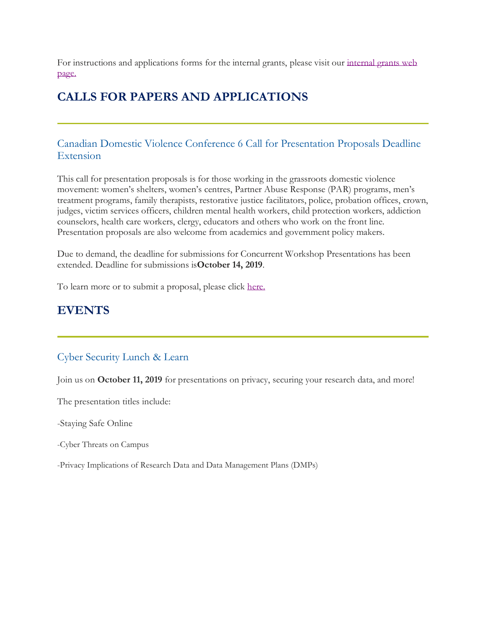For instructions and applications forms for the internal grants, please visit our [internal grants web](https://www.msvu.ca/en/home/research/externalgrants/internalgrants.aspx)  [page.](https://www.msvu.ca/en/home/research/externalgrants/internalgrants.aspx)

# **CALLS FOR PAPERS AND APPLICATIONS**

#### Canadian Domestic Violence Conference 6 Call for Presentation Proposals Deadline Extension

This call for presentation proposals is for those working in the grassroots domestic violence movement: women's shelters, women's centres, Partner Abuse Response (PAR) programs, men's treatment programs, family therapists, restorative justice facilitators, police, probation offices, crown, judges, victim services officers, children mental health workers, child protection workers, addiction counselors, health care workers, clergy, educators and others who work on the front line. Presentation proposals are also welcome from academics and government policy makers.

Due to demand, the deadline for submissions for Concurrent Workshop Presentations has been extended. Deadline for submissions is**October 14, 2019**.

To learn more or to submit a proposal, please click [here.](https://canadiandomesticviolenceconference.org/)

### **EVENTS**

#### Cyber Security Lunch & Learn

Join us on **October 11, 2019** for presentations on privacy, securing your research data, and more!

The presentation titles include:

-Staying Safe Online

-Cyber Threats on Campus

-Privacy Implications of Research Data and Data Management Plans (DMPs)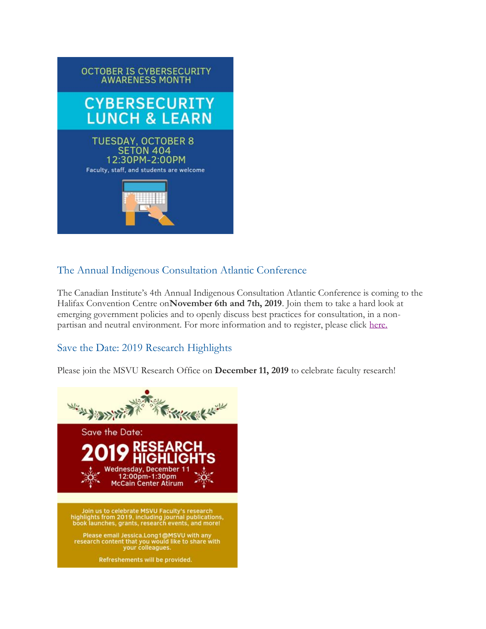

### The Annual Indigenous Consultation Atlantic Conference

The Canadian Institute's 4th Annual Indigenous Consultation Atlantic Conference is coming to the Halifax Convention Centre on**November 6th and 7th, 2019**. Join them to take a hard look at emerging government policies and to openly discuss best practices for consultation, in a nonpartisan and neutral environment. For more information and to register, please click [here.](https://www.canadianinstitute.com/indigenous-consultation-atlantic-2/)

### Save the Date: 2019 Research Highlights

Please join the MSVU Research Office on **December 11, 2019** to celebrate faculty research!

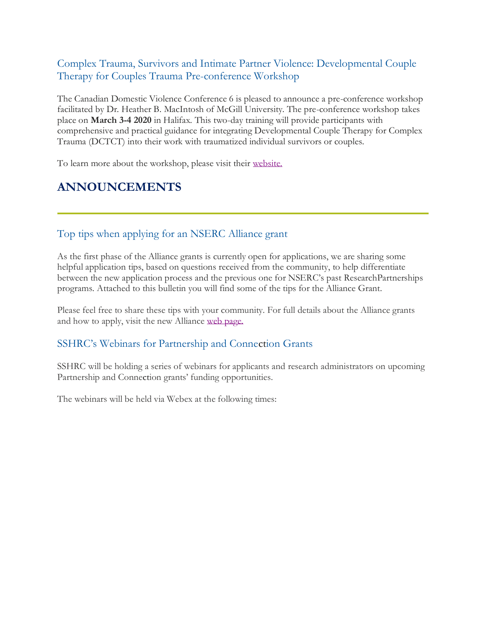### Complex Trauma, Survivors and Intimate Partner Violence: Developmental Couple Therapy for Couples Trauma Pre-conference Workshop

The Canadian Domestic Violence Conference 6 is pleased to announce a pre-conference workshop facilitated by Dr. Heather B. MacIntosh of McGill University. The pre-conference workshop takes place on **March 3-4 2020** in Halifax. This two-day training will provide participants with comprehensive and practical guidance for integrating Developmental Couple Therapy for Complex Trauma (DCTCT) into their work with traumatized individual survivors or couples.

To learn more about the workshop, please visit their [website.](https://canadiandomesticviolenceconference.org/events)

# **ANNOUNCEMENTS**

### Top tips when applying for an NSERC Alliance grant

As the first phase of the Alliance grants is currently open for applications, we are sharing some helpful application tips, based on questions received from the community, to help differentiate between the new application process and the previous one for NSERC's past ResearchPartnerships programs. Attached to this bulletin you will find some of the tips for the Alliance Grant.

Please feel free to share these tips with your community. For full details about the Alliance grants and how to apply, visit the new Alliance [web page.](http://www.nserc-crsng.gc.ca/Innovate-Innover/alliance-alliance/index_eng.asp)

#### SSHRC's Webinars for Partnership and Connection Grants

SSHRC will be holding a series of webinars for applicants and research administrators on upcoming Partnership and Connection grants' funding opportunities.

The webinars will be held via Webex at the following times: